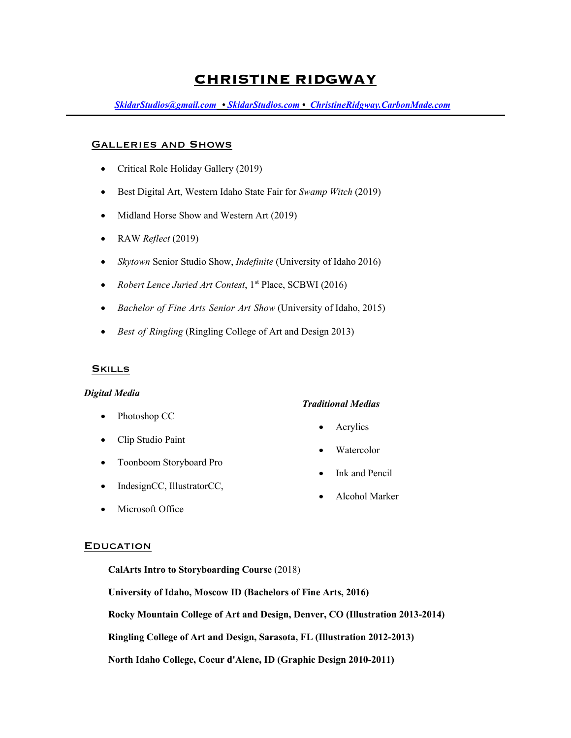# **CHRISTINE RIDGWAY**

*SkidarStudios@gmail.com • SkidarStudios.com • ChristineRidgway.CarbonMade.com*

#### Galleries and Shows

- Critical Role Holiday Gallery (2019)
- Best Digital Art, Western Idaho State Fair for *Swamp Witch* (2019)
- Midland Horse Show and Western Art (2019)
- RAW *Reflect* (2019)
- *Skytown* Senior Studio Show, *Indefinite* (University of Idaho 2016)
- *Robert Lence Juried Art Contest*, 1<sup>st</sup> Place, SCBWI (2016)
- *Bachelor of Fine Arts Senior Art Show* (University of Idaho, 2015)
- *Best of Ringling* (Ringling College of Art and Design 2013)

#### **SKILLS**

#### *Digital Media*

- Photoshop CC
- Clip Studio Paint
- Toonboom Storyboard Pro
- IndesignCC, IllustratorCC,
- Microsoft Office

#### **EDUCATION**

**CalArts Intro to Storyboarding Course** (2018)

**University of Idaho, Moscow ID (Bachelors of Fine Arts, 2016)**

**Rocky Mountain College of Art and Design, Denver, CO (Illustration 2013-2014)**

**Ringling College of Art and Design, Sarasota, FL (Illustration 2012-2013)**

**North Idaho College, Coeur d'Alene, ID (Graphic Design 2010-2011)**

## *Traditional Medias*

- Acrylics
- **Watercolor**
- Ink and Pencil
- Alcohol Marker